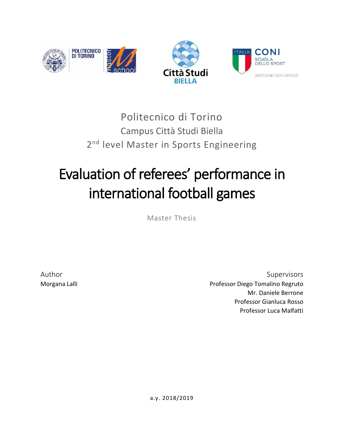

## Politecnico di Torino Campus Città Studi Biella 2<sup>nd</sup> level Master in Sports Engineering

# Evaluation of referees' performance in international football games

Master Thesis

Author Supervisors and the Supervisors of the Supervisors of the Supervisors of the Supervisors of the Supervisors of the Supervisors of the Supervisors of the Supervisors of the Supervisors of the Supervisors of the Super Morgana Lalli **Morgana Lalli** Professor Diego Tomalino Regruto Mr. Daniele Berrone Professor Gianluca Rosso Professor Luca Malfatti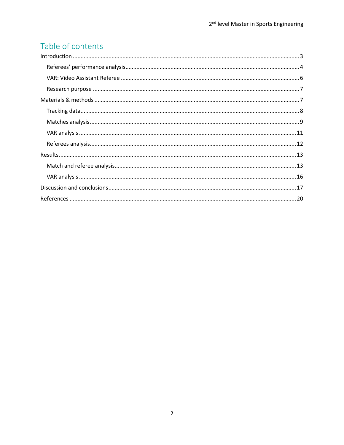## Table of contents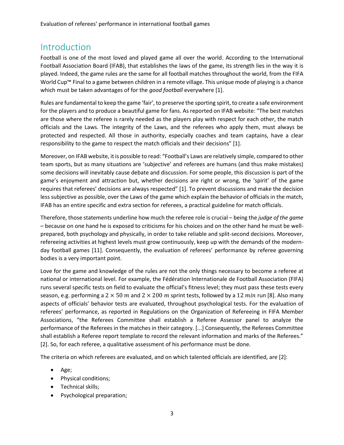## <span id="page-2-0"></span>Introduction

Football is one of the most loved and played game all over the world. According to the International Football Association Board (IFAB), that establishes the laws of the game, its strength lies in the way it is played. Indeed, the game rules are the same for all football matches throughout the world, from the FIFA World Cup™ Final to a game between children in a remote village. This unique mode of playing is a chance which must be taken advantages of for the *good football* everywhere [1].

Rules are fundamental to keep the game 'fair', to preserve the sporting spirit, to create a safe environment for the players and to produce a beautiful game for fans. As reported on IFAB website: "The best matches are those where the referee is rarely needed as the players play with respect for each other, the match officials and the Laws. The integrity of the Laws, and the referees who apply them, must always be protected and respected. All those in authority, especially coaches and team captains, have a clear responsibility to the game to respect the match officials and their decisions" [1].

Moreover, on IFAB website, it is possible to read: "Football's Laws are relatively simple, compared to other team sports, but as many situations are 'subjective' and referees are humans (and thus make mistakes) some decisions will inevitably cause debate and discussion. For some people, this discussion is part of the game's enjoyment and attraction but, whether decisions are right or wrong, the 'spirit' of the game requires that referees' decisions are always respected" [1]. To prevent discussions and make the decision less subjective as possible, over the Laws of the game which explain the behavior of officials in the match, IFAB has an entire specific and extra section for referees, a practical guideline for match officials.

Therefore, those statements underline how much the referee role is crucial – being the *judge of the game* – because on one hand he is exposed to criticisms for his choices and on the other hand he must be wellprepared, both psychology and physically, in order to take reliable and split-second decisions. Moreover, refereeing activities at highest levels must grow continuously, keep up with the demands of the modernday football games [11]. Consequently, the evaluation of referees' performance by referee governing bodies is a very important point.

Love for the game and knowledge of the rules are not the only things necessary to become a referee at national or international level. For example, the Fédération Internationale de Football Association (FIFA) runs several specific tests on field to evaluate the official's fitness level; they must pass these tests every season, e.g. performing a  $2 \times 50$  m and  $2 \times 200$  m sprint tests, followed by a 12 min run [8]. Also many aspects of officials' behavior tests are evaluated, throughout psychological tests. For the evaluation of referees' performance, as reported in Regulations on the Organization of Refereeing in FIFA Member Associations, "the Referees Committee shall establish a Referee Assessor panel to analyze the performance of the Referees in the matches in their category. [...] Consequently, the Referees Committee shall establish a Referee report template to record the relevant information and marks of the Referees." [2]. So, for each referee, a qualitative assessment of his performance must be done.

The criteria on which referees are evaluated, and on which talented officials are identified, are [2]:

- Age;
- Physical conditions;
- Technical skills;
- Psychological preparation;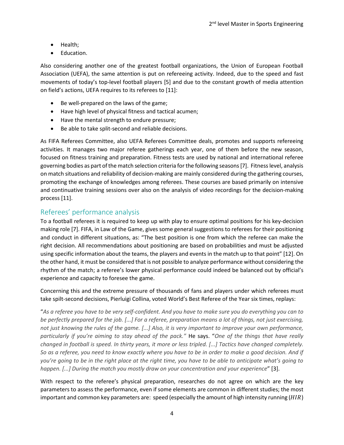- Health;
- Education.

Also considering another one of the greatest football organizations, the Union of European Football Association (UEFA), the same attention is put on refereeing activity. Indeed, due to the speed and fast movements of today's top-level football players [5] and due to the constant growth of media attention on field's actions, UEFA requires to its referees to [11]:

- Be well-prepared on the laws of the game;
- Have high level of physical fitness and tactical acumen;
- Have the mental strength to endure pressure;
- Be able to take split-second and reliable decisions.

As FIFA Referees Committee, also UEFA Referees Committee deals, promotes and supports refereeing activities. It manages two major referee gatherings each year, one of them before the new season, focused on fitness training and preparation. Fitness tests are used by national and international referee governing bodies as part of the match selection criteria for the following seasons [7]. Fitness level, analysis on match situations and reliability of decision-making are mainly considered during the gathering courses, promoting the exchange of knowledges among referees. These courses are based primarily on intensive and continuative training sessions over also on the analysis of video recordings for the decision-making process [11].

#### <span id="page-3-0"></span>Referees' performance analysis

To a football referees it is required to keep up with play to ensure optimal positions for his key-decision making role [7]. FIFA, in Law of the Game, gives some general suggestions to referees for their positioning and conduct in different situations, as: "The best position is one from which the referee can make the right decision. All recommendations about positioning are based on probabilities and must be adjusted using specific information about the teams, the players and events in the match up to that point" [12]. On the other hand, it must be considered that is not possible to analyze performance without considering the rhythm of the match; a referee's lower physical performance could indeed be balanced out by official's experience and capacity to foresee the game.

Concerning this and the extreme pressure of thousands of fans and players under which referees must take spilt-second decisions, Pierluigi Collina, voted World's Best Referee of the Year six times, replays:

"*As a referee you have to be very self-confident. And you have to make sure you do everything you can to be perfectly prepared for the job. [...] For a referee, preparation means a lot of things, not just exercising, not just knowing the rules of the game. [...] Also, it is very important to improve your own performance, particularly if you're aiming to stay ahead of the pack."* He says. "*One of the things that have really changed in football is speed. In thirty years, it more or less tripled. [...] Tactics have changed completely. So as a referee, you need to know exactly where you have to be in order to make a good decision. And if you're going to be in the right place at the right time, you have to be able to anticipate what's going to happen. [...] During the match you mostly draw on your concentration and your experience*" [3].

With respect to the referee's physical preparation, researches do not agree on which are the key parameters to assess the performance, even if some elements are common in different studies; the most important and common key parameters are: speed (especially the amount of high intensity running  $(HIR)$ )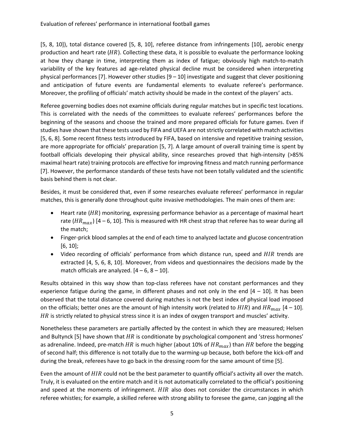[5, 8, 10]), total distance covered [5, 8, 10], referee distance from infringements [10], aerobic energy production and heart rate ( $HR$ ). Collecting these data, it is possible to evaluate the performance looking at how they change in time, interpreting them as index of fatigue; obviously high match-to-match variability of the key features ad age-related physical decline must be considered when interpreting physical performances [7]. However other studies [9 – 10] investigate and suggest that clever positioning and anticipation of future events are fundamental elements to evaluate referee's performance. Moreover, the profiling of officials' match activity should be made in the context of the players' acts.

Referee governing bodies does not examine officials during regular matches but in specific test locations. This is correlated with the needs of the committees to evaluate referees' performances before the beginning of the seasons and choose the trained and more prepared officials for future games. Even if studies have shown that these tests used by FIFA and UEFA are not strictly correlated with match activities [5, 6, 8]. Some recent fitness tests introduced by FIFA, based on intensive and repetitive training session, are more appropriate for officials' preparation [5, 7]. A large amount of overall training time is spent by football officials developing their physical ability, since researches proved that high-intensity (>85% maximal heart rate) training protocols are effective for improving fitness and match running performance [7]. However, the performance standards of these tests have not been totally validated and the scientific basis behind them is not clear.

Besides, it must be considered that, even if some researches evaluate referees' performance in regular matches, this is generally done throughout quite invasive methodologies. The main ones of them are:

- Heart rate  $(HR)$  monitoring, expressing performance behavior as a percentage of maximal heart rate ( $HR_{max}$ ) [4 – 6, 10]. This is measured with HR chest strap that referee has to wear during all the match;
- Finger-prick blood samples at the end of each time to analyzed lactate and glucose concentration [6, 10];
- Video recording of officials' performance from which distance run, speed and  $HIR$  trends are extracted [4, 5, 6, 8, 10]. Moreover, from videos and questionnaires the decisions made by the match officials are analyzed.  $[4 - 6, 8 - 10]$ .

Results obtained in this way show than top-class referees have not constant performances and they experience fatigue during the game, in different phases and not only in the end  $[4 - 10]$ . It has been observed that the total distance covered during matches is not the best index of physical load imposed on the officials; better ones are the amount of high intensity work (related to  $HIR$ ) and  $HR_{max}$  [4 – 10].  $HR$  is strictly related to physical stress since it is an index of oxygen transport and muscles' activity.

Nonetheless these parameters are partially affected by the contest in which they are measured; Helsen and Bultynck [5] have shown that  $HR$  is conditionate by psychological component and 'stress hormones' as adrenaline. Indeed, pre-match HR is much higher (about 10% of  $HR_{max}$ ) than HR before the begging of second half; this difference is not totally due to the warming-up because, both before the kick-off and during the break, referees have to go back in the dressing room for the same amount of time [5].

Even the amount of HIR could not be the best parameter to quantify official's activity all over the match. Truly, it is evaluated on the entire match and it is not automatically correlated to the official's positioning and speed at the moments of infringement.  $HIR$  also does not consider the circumstances in which referee whistles; for example, a skilled referee with strong ability to foresee the game, can jogging all the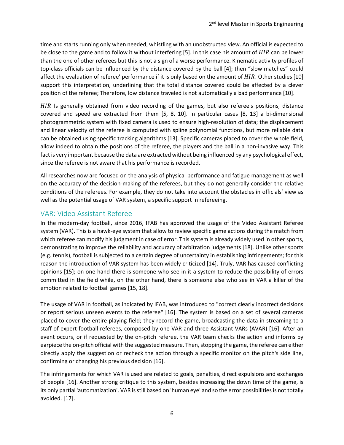time and starts running only when needed, whistling with an unobstructed view. An official is expected to be close to the game and to follow it without interfering [5]. In this case his amount of  $HIR$  can be lower than the one of other referees but this is not a sign of a worse performance. Kinematic activity profiles of top-class officials can be influenced by the distance covered by the ball [4]; then "slow matches" could affect the evaluation of referee' performance if it is only based on the amount of  $HIR$ . Other studies [10] support this interpretation, underlining that the total distance covered could be affected by a clever position of the referee; Therefore, low distance traveled is not automatically a bad performance [10].

 $HIR$  Is generally obtained from video recording of the games, but also referee's positions, distance covered and speed are extracted from them [5, 8, 10]. In particular cases [8, 13] a bi-dimensional photogrammetric system with fixed camera is used to ensure high-resolution of data; the displacement and linear velocity of the referee is computed with spline polynomial functions, but more reliable data can be obtained using specific tracking algorithms [13]. Specific cameras placed to cover the whole field, allow indeed to obtain the positions of the referee, the players and the ball in a non-invasive way. This fact is very important because the data are extracted without being influenced by any psychological effect, since the referee is not aware that his performance is recorded.

All researches now are focused on the analysis of physical performance and fatigue management as well on the accuracy of the decision-making of the referees, but they do not generally consider the relative conditions of the referees. For example, they do not take into account the obstacles in officials' view as well as the potential usage of VAR system, a specific support in refereeing.

#### <span id="page-5-0"></span>VAR: Video Assistant Referee

In the modern-day football, since 2016, IFAB has approved the usage of the Video Assistant Referee system (VAR). This is a hawk-eye system that allow to review specific game actions during the match from which referee can modify his judgment in case of error. This system is already widely used in other sports, demonstrating to improve the reliability and accuracy of arbitration judgements [18]. Unlike other sports (e.g. tennis), football is subjected to a certain degree of uncertainty in establishing infringements; for this reason the introduction of VAR system has been widely criticized [14]. Truly, VAR has caused conflicting opinions [15]; on one hand there is someone who see in it a system to reduce the possibility of errors committed in the field while, on the other hand, there is someone else who see in VAR a killer of the emotion related to football games [15, 18].

The usage of VAR in football, as indicated by IFAB, was introduced to "correct clearly incorrect decisions or report serious unseen events to the referee" [16]. The system is based on a set of several cameras placed to cover the entire playing field; they record the game, broadcasting the data in streaming to a staff of expert football referees, composed by one VAR and three Assistant VARs (AVAR) [16]. After an event occurs, or if requested by the on-pitch referee, the VAR team checks the action and informs by earpiece the on-pitch official with the suggested measure. Then, stopping the game, the referee can either directly apply the suggestion or recheck the action through a specific monitor on the pitch's side line, confirming or changing his previous decision [16].

The infringements for which VAR is used are related to goals, penalties, direct expulsions and exchanges of people [16]. Another strong critique to this system, besides increasing the down time of the game, is its only partial 'automatization'. VAR is still based on 'human eye' and so the error possibilities is not totally avoided. [17].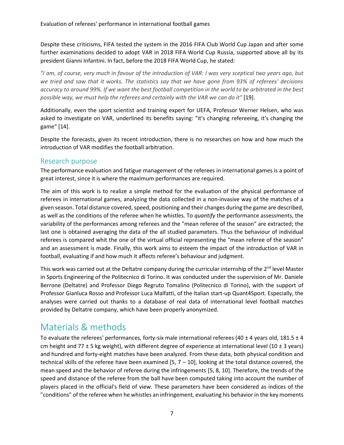Despite these criticisms, FIFA tested the system in the 2016 FIFA Club World Cup Japan and after some further examinations decided to adopt VAR in 2018 FIFA World Cup Russia, supported above all by its president Gianni Infantini. In fact, before the 2018 FIFA World Cup, he stated:

*"I am, of course, very much in favour of the introduction of VAR: I was very sceptical two years ago, but we tried and saw that it works. The statistics say that we have gone from 93% of referees' decisions accuracy to around 99%. If we want the best football competition in the world to be arbitrated in the best possible way, we must help the referees and certainly with the VAR we can do it"* [19].

Additionally, even the sport scientist and training expert for UEFA, Professor Werner Helsen, who was asked to investigate on VAR, underlined its benefits saying: "it's changing refereeing, it's changing the game" [14].

Despite the forecasts, given its recent introduction, there is no researches on how and how much the introduction of VAR modifies the football arbitration.

#### <span id="page-6-0"></span>Research purpose

The performance evaluation and fatigue management of the referees in international games is a point of great interest, since it is where the maximum performances are required.

The aim of this work is to realize a simple method for the evaluation of the physical performance of referees in international games, analyzing the data collected in a non-invasive way of the matches of a given season. Total distance covered, speed, positioning and their changes during the game are described, as well as the conditions of the referee when he whistles. To *quantify* the performance assessments, the variability of the performances among referees and the "mean referee of the season" are extracted; the last one is obtained averaging the data of the all studied parameters. Thus the behaviour of individual referees is compared whit the one of the virtual official representing the "mean referee of the season" and an assessment is made. Finally, this work aims to esteem the impact of the introduction of VAR in football, evaluating if and how much it affects referee's behaviour and judgment.

This work was carried out at the Deltatre company during the curricular internship of the 2<sup>nd</sup> level Master in Sports Engineering of the Politecnico di Torino. It was conducted under the supervision of Mr. Daniele Berrone (Deltatre) and Professor Diego Regruto Tomalino (Politecnico di Torino), with the support of Professor Gianluca Rosso and Professor Luca Malfatti, of the Italian start-up Quant4Sport. Especially, the analyses were carried out thanks to a database of real data of international level football matches provided by Deltatre company, which have been properly anonymized.

## <span id="page-6-1"></span>Materials & methods

To evaluate the referees' performances, forty-six male international referees (40  $\pm$  4 years old, 181.5  $\pm$  4 cm height and 77  $\pm$  5 kg weight), with different degree of experience at international level (10  $\pm$  3 years) and hundred and forty-eight matches have been analyzed. From these data, both physical condition and technical skills of the referee have been examined [5,  $7 - 10$ ], looking at the total distance covered, the mean speed and the behavior of referee during the infringements [5, 8, 10]. Therefore, the trends of the speed and distance of the referee from the ball have been computed taking into account the number of players placed in the official's field of view. These parameters have been considered as indices of the "conditions" of the referee when he whistles an infringement, evaluating his behavior in the key moments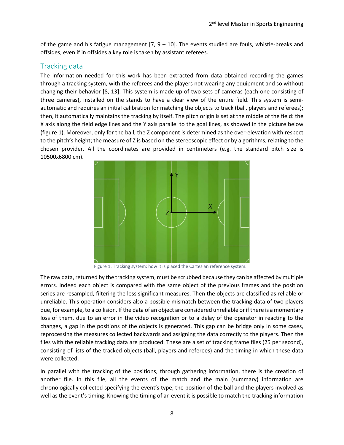of the game and his fatigue management  $[7, 9 - 10]$ . The events studied are fouls, whistle-breaks and offsides, even if in offsides a key role is taken by assistant referees.

#### <span id="page-7-0"></span>Tracking data

The information needed for this work has been extracted from data obtained recording the games through a tracking system, with the referees and the players not wearing any equipment and so without changing their behavior [8, 13]. This system is made up of two sets of cameras (each one consisting of three cameras), installed on the stands to have a clear view of the entire field. This system is semiautomatic and requires an initial calibration for matching the objects to track (ball, players and referees); then, it automatically maintains the tracking by itself. The pitch origin is set at the middle of the field: the X axis along the field edge lines and the Y axis parallel to the goal lines, as showed in the picture below (figure 1). Moreover, only for the ball, the Z component is determined as the over-elevation with respect to the pitch's height; the measure of Z is based on the stereoscopic effect or by algorithms, relating to the chosen provider. All the coordinates are provided in centimeters (e.g. the standard pitch size is 10500x6800 cm).



Figure 1. Tracking system: how it is placed the Cartesian reference system.

The raw data, returned by the tracking system, must be scrubbed because they can be affected by multiple errors. Indeed each object is compared with the same object of the previous frames and the position series are resampled, filtering the less significant measures. Then the objects are classified as reliable or unreliable. This operation considers also a possible mismatch between the tracking data of two players due, for example, to a collision. If the data of an object are considered unreliable or if there is a momentary loss of them, due to an error in the video recognition or to a delay of the operator in reacting to the changes, a gap in the positions of the objects is generated. This gap can be bridge only in some cases, reprocessing the measures collected backwards and assigning the data correctly to the players. Then the files with the reliable tracking data are produced. These are a set of tracking frame files (25 per second), consisting of lists of the tracked objects (ball, players and referees) and the timing in which these data were collected.

In parallel with the tracking of the positions, through gathering information, there is the creation of another file. In this file, all the events of the match and the main (summary) information are chronologically collected specifying the event's type, the position of the ball and the players involved as well as the event's timing. Knowing the timing of an event it is possible to match the tracking information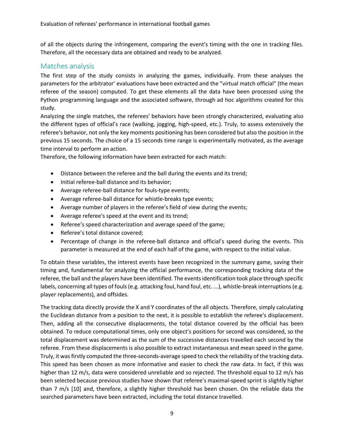of all the objects during the infringement, comparing the event's timing with the one in tracking files. Therefore, all the necessary data are obtained and ready to be analyzed.

#### <span id="page-8-0"></span>Matches analysis

The first step of the study consists in analyzing the games, individually. From these analyses the parameters for the arbitrator' evaluations have been extracted and the "virtual match official" (the mean referee of the season) computed. To get these elements all the data have been processed using the Python programming language and the associated software, through ad hoc algorithms created for this study.

Analyzing the single matches, the referees' behaviors have been strongly characterized, evaluating also the different types of official's race (walking, jogging, high-speed, etc.). Truly, to assess extensively the referee's behavior, not only the key moments positioning has been considered but also the position in the previous 15 seconds. The choice of a 15 seconds time range is experimentally motivated, as the average time interval to perform an action.

Therefore, the following information have been extracted for each match:

- Distance between the referee and the ball during the events and its trend;
- Initial referee-ball distance and its behavior;
- Average referee-ball distance for fouls-type events;
- Average referee-ball distance for whistle-breaks type events;
- Average number of players in the referee's field of view during the events;
- Average referee's speed at the event and its trend;
- Referee's speed characterization and average speed of the game;
- Referee's total distance covered;
- Percentage of change in the referee-ball distance and official's speed during the events. This parameter is measured at the end of each half of the game, with respect to the initial value.

To obtain these variables, the interest events have been recognized in the summary game, saving their timing and, fundamental for analyzing the official performance, the corresponding tracking data of the referee, the ball and the players have been identified. The events identification took place through specific labels, concerning all types of fouls (e.g. attacking foul, hand foul, etc. ...), whistle-break interruptions (e.g. player replacements), and offsides.

The tracking data directly provide the X and Y coordinates of the all objects. Therefore, simply calculating the Euclidean distance from a position to the next, it is possible to establish the referee's displacement. Then, adding all the consecutive displacements, the total distance covered by the official has been obtained. To reduce computational times, only one object's positions for second was considered, so the total displacement was determined as the sum of the successive distances travelled each second by the referee. From these displacements is also possible to extract instantaneous and mean speed in the game. Truly, it was firstly computed the three-seconds-average speed to check the reliability of the tracking data. This speed has been chosen as more informative and easier to check the raw data. In fact, if this was higher than 12 m/s, data were considered unreliable and so rejected. The threshold equal to 12 m/s has been selected because previous studies have shown that referee's maximal-speed sprint is slightly higher than 7 m/s [10] and, therefore, a slightly higher threshold has been chosen. On the reliable data the searched parameters have been extracted, including the total distance travelled.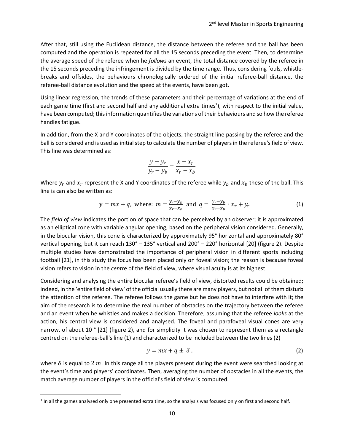After that, still using the Euclidean distance, the distance between the referee and the ball has been computed and the operation is repeated for all the 15 seconds preceding the event. Then, to determine the average speed of the referee when he *follows* an event, the total distance covered by the referee in the 15 seconds preceding the infringement is divided by the time range. Thus, considering fouls, whistlebreaks and offsides, the behaviours chronologically ordered of the initial referee-ball distance, the referee-ball distance evolution and the speed at the events, have been got.

Using linear regression, the trends of these parameters and their percentage of variations at the end of each game time (first and second half and any additional extra times<sup>1</sup>), with respect to the initial value, have been computed; this information quantifies the variations of their behaviours and so how the referee handles fatigue.

In addition, from the X and Y coordinates of the objects, the straight line passing by the referee and the ball is considered and is used asinitial step to calculate the number of players in the referee's field of view. This line was determined as:

$$
\frac{y - y_r}{y_r - y_b} = \frac{x - x_r}{x_r - x_b}
$$

Where  $y_r$  and  $x_r$  represent the X and Y coordinates of the referee while  $y_b$  and  $x_b$  these of the ball. This line is can also be written as:

$$
y = mx + q
$$
, where:  $m = \frac{y_r - y_b}{x_r - x_b}$  and  $q = \frac{y_r - y_b}{x_r - x_b} \cdot x_r + y_r$  (1)

The *field of view* indicates the portion of space that can be perceived by an observer; it is approximated as an elliptical cone with variable angular opening, based on the peripheral vision considered. Generally, in the biocular vision, this cone is characterized by approximately 95° horizontal and approximately 80° vertical opening, but it can reach 130° – 135° vertical and 200° – 220° horizontal [20] (figure 2). Despite multiple studies have demonstrated the importance of peripheral vision in different sports including football [21], in this study the focus has been placed only on foveal vision; the reason is because foveal vision refers to vision in the *centr*e of the field of view, where visual acuity is at its highest.

Considering and analysing the entire biocular referee's field of view, distorted results could be obtained; indeed, in the 'entire field of view' of the official usually there are many players, but not all of them disturb the attention of the referee. The referee follows the game but he does not have to interfere with it; the aim of the research is to determine the real number of obstacles on the trajectory between the referee and an event when he whistles and makes a decision. Therefore, assuming that the referee *looks* at the action, his central view is considered and analysed. The foveal and parafoveal visual cones are very narrow, of about 10 ° [21] (figure 2), and for simplicity it was chosen to represent them as a rectangle centred on the referee-ball's line (1) and characterized to be included between the two lines (2)

$$
y = mx + q \pm \delta \tag{2}
$$

where  $\delta$  is equal to 2 m. In this range all the players present during the event were searched looking at the event's time and players' coordinates. Then, averaging the number of obstacles in all the events, the match average number of players in the official's field of view is computed.

 $\overline{\phantom{a}}$ 

 $^1$  In all the games analysed only one presented extra time, so the analysis was focused only on first and second half.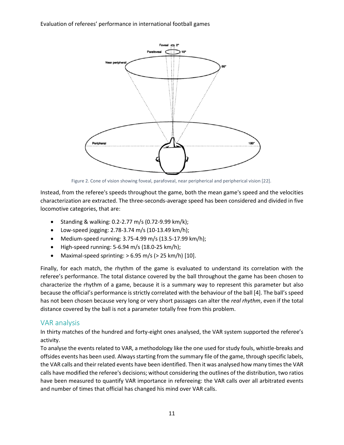Evaluation of referees' performance in international football games



Figure 2. Cone of vision showing foveal, parafoveal, near peripherical and peripherical vision [22].

Instead, from the referee's speeds throughout the game, both the mean game's speed and the velocities characterization are extracted. The three-seconds-average speed has been considered and divided in five locomotive categories, that are:

- Standing & walking: 0.2-2.77 m/s (0.72-9.99 km/k);
- Low-speed jogging: 2.78-3.74 m/s (10-13.49 km/h);
- Medium-speed running: 3.75-4.99 m/s (13.5-17.99 km/h);
- $\bullet$  High-speed running: 5-6.94 m/s (18.0-25 km/h);
- Maximal-speed sprinting:  $> 6.95$  m/s ( $> 25$  km/h) [10].

Finally, for each match, the rhythm of the game is evaluated to understand its correlation with the referee's performance. The total distance covered by the ball throughout the game has been chosen to characterize the rhythm of a game, because it is a summary way to represent this parameter but also because the official's performance is strictly correlated with the behaviour of the ball [4]. The ball's speed has not been chosen because very long or very short passages can alter the *real rhythm*, even if the total distance covered by the ball is not a parameter totally free from this problem.

#### <span id="page-10-0"></span>VAR analysis

In thirty matches of the hundred and forty-eight ones analysed, the VAR system supported the referee's activity.

To analyse the events related to VAR, a methodology like the one used for study fouls, whistle-breaks and offsides events has been used. Always starting from the summary file of the game, through specific labels, the VAR calls and their related events have been identified. Then it was analysed how many times the VAR calls have modified the referee's decisions; without considering the outlines of the distribution, two ratios have been measured to quantify VAR importance in refereeing: the VAR calls over all arbitrated events and number of times that official has changed his mind over VAR calls.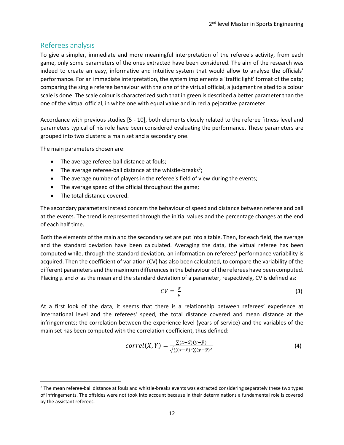#### <span id="page-11-0"></span>Referees analysis

To give a simpler, immediate and more meaningful interpretation of the referee's activity, from each game, only some parameters of the ones extracted have been considered. The aim of the research was indeed to create an easy, informative and intuitive system that would allow to analyse the officials' performance. For an immediate interpretation, the system implements a 'traffic light' format of the data; comparing the single referee behaviour with the one of the virtual official, a judgment related to a colour scale is done. The scale colour is characterized such that in green is described a better parameter than the one of the virtual official, in white one with equal value and in red a pejorative parameter.

Accordance with previous studies [5 - 10], both elements closely related to the referee fitness level and parameters typical of his role have been considered evaluating the performance. These parameters are grouped into two clusters: a main set and a secondary one.

The main parameters chosen are:

- The average referee-ball distance at fouls;
- The average referee-ball distance at the whistle-breaks<sup>2</sup>;
- The average number of players in the referee's field of view during the events;
- The average speed of the official throughout the game;
- The total distance covered.

 $\overline{a}$ 

The secondary parametersinstead concern the behaviour of speed and distance between referee and ball at the events. The trend is represented through the initial values and the percentage changes at the end of each half time.

Both the elements of the main and the secondary set are put into a table. Then, for each field, the average and the standard deviation have been calculated. Averaging the data, the virtual referee has been computed while, through the standard deviation, an information on referees' performance variability is acquired. Then the coefficient of variation (CV) has also been calculated, to compare the variability of the different parameters and the maximum differences in the behaviour of the referees have been computed. Placing  $\mu$  and  $\sigma$  as the mean and the standard deviation of a parameter, respectively, CV is defined as:

$$
CV = \frac{\sigma}{\mu} \tag{3}
$$

At a first look of the data, it seems that there is a relationship between referees' experience at international level and the referees' speed, the total distance covered and mean distance at the infringements; the correlation between the experience level (years of service) and the variables of the main set has been computed with the correlation coefficient, thus defined:

$$
correl(X,Y) = \frac{\sum (x-\bar{x})(y-\bar{y})}{\sqrt{\sum (x-\bar{x})^2 \sum (y-\bar{y})^2}}
$$
(4)

 $^2$  The mean referee-ball distance at fouls and whistle-breaks events was extracted considering separately these two types of infringements. The offsides were not took into account because in their determinations a fundamental role is covered by the assistant referees.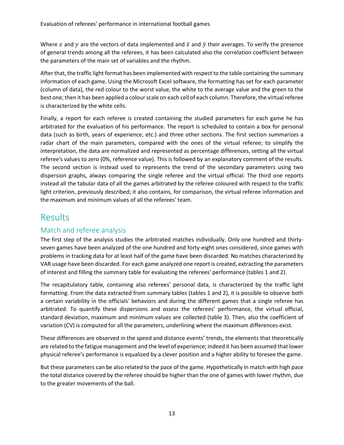Where x and y are the vectors of data implemented and  $\bar{x}$  and  $\bar{y}$  their averages. To verify the presence of general trends among all the referees, it has been calculated also the correlation coefficient between the parameters of the main set of variables and the rhythm.

After that, the traffic light format has been implemented with respect to the table containing the summary information of each game. Using the Microsoft Excel software, the formatting has set for each parameter (column of data), the red colour to the worst value, the white to the average value and the green to the best one; then it has been applied a colour scale on each cell of each column. Therefore, the virtual referee is characterized by the white cells.

Finally, a report for each referee is created containing the studied parameters for each game he has arbitrated for the evaluation of his performance. The report is scheduled to contain a box for personal data (such as birth, years of experience, etc.) and three other sections. The first section summarizes a radar chart of the main parameters, compared with the ones of the virtual referee; to simplify the interpretation, the data are normalized and represented as percentage differences, setting all the virtual referee's values to zero (0%, reference value). This is followed by an explanatory comment of the results. The second section is instead used to represents the trend of the secondary parameters using two dispersion graphs, always comparing the single referee and the virtual official. The third one reports instead all the tabular data of all the games arbitrated by the referee coloured with respect to the traffic light criterion, previously described; it also contains, for comparison, the virtual referee information and the maximum and minimum values of all the referees' team.

## <span id="page-12-0"></span>Results

#### <span id="page-12-1"></span>Match and referee analysis

The first step of the analysis studies the arbitrated matches individually. Only one hundred and thirtyseven games have been analyzed of the one hundred and forty-eight ones considered, since games with problems in tracking data for at least half of the game have been discarded. No matches characterized by VAR usage have been discarded. For each game analyzed one report is created, extracting the parameters of interest and filling the summary table for evaluating the referees' performance (tables 1 and 2).

The recapitulatory table, containing also referees' personal data, is characterized by the traffic light formatting. From the data extracted from summary tables (tables 1 and 2), it is possible to observe both a certain variability in the officials' behaviors and during the different games that a single referee has arbitrated. To quantify these dispersions and *assess* the referees' performance, the virtual official, standard deviation, maximum and minimum values are collected (table 3). Then, also the coefficient of variation (CV) is computed for all the parameters, underlining where the maximum differences exist.

These differences are observed in the speed and distance events' trends, the elements that theoretically are related to the fatigue management and the level of experience; indeed it has been assumed that lower physical referee's performance is equalized by a clever position and a higher ability to foresee the game.

But these parameters can be also related to the pace of the game. Hypothetically in match with high pace the total distance covered by the referee should be higher than the one of games with lower rhythm, due to the greater movements of the ball.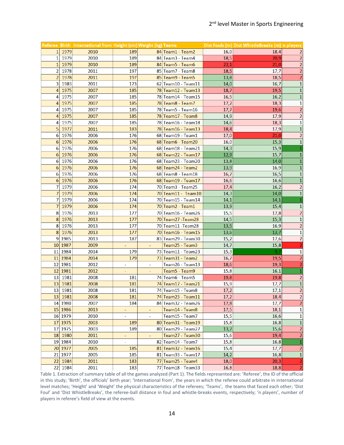|                  |         | Referee Birth International from Height (cm) Weight (kg) Teams |     |                          |                           |      | Dist Fouls (m) Dist WhistleBreaks (m) n players |                         |
|------------------|---------|----------------------------------------------------------------|-----|--------------------------|---------------------------|------|-------------------------------------------------|-------------------------|
|                  | 1 1979  | 2010                                                           | 189 |                          | 84 Team1 - Team2          | 16,0 | 18,4                                            | $\overline{2}$          |
| 1 <sup>1</sup>   | 1979    | 2010                                                           | 189 |                          | 84 Team3 - Team4          | 18,5 | 20,9                                            | $\overline{2}$          |
|                  | 1 1979  | 2010                                                           | 189 |                          | 84 Team5 - Team6          | 22,1 | 21,0                                            | $\overline{2}$          |
| $\overline{2}$   | 1978    | 2011                                                           | 197 |                          | 85 Team7 - Team8          | 18,5 | 17,7                                            | $\overline{2}$          |
| $\overline{2}$   | 1978    | 2011                                                           | 197 |                          | 85 Team9 - Team5          | 13,8 | 18,5                                            | $\overline{2}$          |
| 3                | 1983    | 2011                                                           | 173 |                          | $62$ Team10 - Team11      | 14,0 | 16,7                                            | $\mathbf{1}$            |
| $\overline{4}$   | 1975    | 2007                                                           | 185 |                          | 78 Team12 - Team13        | 18,7 | 19,5                                            | $\mathbf{1}$            |
| 4                | 1975    | 2007                                                           | 185 |                          | 78 Team14 - Team15        | 16,5 | 16,2                                            | $\overline{1}$          |
| $\overline{4}$   | 1975    | 2007                                                           | 185 |                          | 78 Team8 - Team7          | 17,2 | 18,3                                            | $\mathbf{1}$            |
| 4                | 1975    | 2007                                                           | 185 |                          | 78 Team 5 - Team 16       | 17,7 | 19,6                                            | $\overline{2}$          |
| $\overline{4}$   | 1975    | 2007                                                           | 185 |                          | 78 Team 17 - Team 8       | 14,9 | 17,9                                            | $\overline{2}$          |
| 4                | 1975    | 2007                                                           | 185 |                          | 78 Team16 - Team18        | 14,6 | 18,3                                            | $\mathbf{1}$            |
| 5                | 1977    | 2011                                                           | 183 |                          | 78 Team 16 - Team 13      | 18,4 | 17,9                                            | $\overline{1}$          |
| 6                | 1976    | 2006                                                           | 176 |                          | $68$ Team19 - Team1       | 17,0 | 21,0                                            | $\overline{2}$          |
| 6                | 1976    | 2006                                                           | 176 |                          | 68 Team6 - Team20         | 16,0 | 15,3                                            | $\mathbf{1}$            |
| 6                | 1976    | 2006                                                           | 176 |                          | 68 Team 18 - Team 21      | 14,3 | 15,9                                            | $\mathbf{1}$            |
|                  | 6 1976  | 2006                                                           | 176 |                          | 68 Team 22 - Team 17      | 12,9 | 15,7                                            | $\mathbf{1}$            |
| 6                | 1976    | 2006                                                           | 176 |                          | 68 Team 23 - Team 20      | 13,8 | 14,0                                            | $\overline{\mathbf{1}}$ |
| $6 \overline{6}$ | 1976    | 2006                                                           | 176 |                          | $68$ Team24 - Team2       | 13,9 | 16,9                                            | $\mathbf{1}$            |
| 6                | 1976    | 2006                                                           | 176 |                          | 68 Team8 - Team18         | 16,7 | 16,5                                            | $\mathbf{1}$            |
| $6 \overline{6}$ | 1976    | 2006                                                           | 176 |                          | 68 Team 19 - Team 17      | 16,6 | 16,6                                            | $\overline{\mathbf{1}}$ |
| $\overline{7}$   | 1979    | 2006                                                           | 174 |                          | 70 Team 3 - Team 25       | 17,4 | 16,2                                            | $\overline{2}$          |
| 7                | 1979    | 2006                                                           | 174 |                          | $70$  Team11 - Team10     | 14,3 | 14,0                                            | $\mathbf{1}$            |
| 7                | 1979    | 2006                                                           | 174 |                          | 70 Team15 - Team14        | 14,1 | 14,1                                            |                         |
| 7                | 1979    | 2006                                                           | 174 |                          | 70 Team2 - Team1          | 13,9 | 15,4                                            | $\mathbf 1$             |
| 8                | 1976    | 2013                                                           | 177 |                          | 70 Team16 - Team26        | 15,5 | 17,8                                            | $\overline{2}$          |
| 8                | 1976    | 2013                                                           | 177 |                          | 70 Team 27 - Team 28      | 14,5 | 15,3                                            | $\overline{\mathbf{1}}$ |
| 8                | 1976    | 2013                                                           | 177 |                          | 70 Team11 - Team28        | 13,5 | 16,9                                            | $\overline{2}$          |
|                  | 8 1976  | 2013                                                           | 177 |                          | 70 Team 16 - Team 15      | 13,6 | 13,7                                            | $\mathbf{1}$            |
| $\overline{9}$   | 1985    | 2013                                                           | 187 |                          | 83 Team 29 - Team 30      | 15,2 | 17,6                                            | $\overline{2}$          |
|                  | 10 1987 | 2009                                                           | ÷   | $\equiv$                 | Team25 - Team3            | 14,7 | 15,8                                            | $\overline{2}$          |
|                  | 11 1984 | 2014                                                           | 179 |                          | 73 Team11 - Team23        | 15,3 | 9,7                                             | $\mathbf{1}$            |
|                  | 11 1984 | 2014                                                           | 179 |                          | $73$ Team $31$ - Team $2$ | 16,7 | 19,5                                            | $\overline{2}$          |
|                  | 12 1981 | 2012                                                           | ÷,  | $\overline{\phantom{a}}$ | Team26 - Team13           | 18,6 | 19,3                                            | $\overline{2}$          |
|                  | 12 1981 | 2012                                                           |     |                          | Team5 - Team9             | 15,8 | 16,1                                            | $\overline{1}$          |
|                  | 13 1981 | 2008                                                           | 181 |                          | 74 Team6 - Team5          | 19,8 | 19,8                                            | $\overline{2}$          |
| 13               | 1981    | 2008                                                           | 181 |                          | 74 Team 17 - Team 21      | 15,9 | 17,7                                            | $\mathbf{1}$            |
|                  | 13 1981 | 2008                                                           | 181 |                          | 74 Team15 - Team8         | 17,2 | 17,1                                            | $\overline{2}$          |
|                  | 13 1981 | 2008                                                           | 181 |                          | 74 Team 23 - Team 11      | 17,2 | 18,4                                            | $\overline{2}$          |
|                  | 14 1980 | 2007                                                           | 184 |                          | 84 Team 32 - Team 26      | 17,8 | 17,7                                            | $\overline{2}$          |
|                  | 15 1986 | 2013                                                           | ÷,  | ÷,                       | Team14 - Team8            | 17,5 | 18,1                                            | $\mathbf{1}$            |
|                  | 16 1979 | 2010                                                           | ÷.  | $\blacksquare$           | Team15 - Team7            | 15,5 | 16,6                                            | $\mathbf{1}$            |
|                  | 17 1975 | 2003                                                           | 189 |                          | 80 Team 31 - Team 19      | 15,8 | 16,8                                            | $\mathbf{1}$            |
|                  | 17 1975 | 2003                                                           | 189 |                          | 80 Team 29 - Team 27      | 13,7 | 15,6                                            | $\overline{2}$          |
|                  | 18 1980 | 2011                                                           | ÷   | $\overline{\phantom{a}}$ | Team27 - Team30           | 15,6 | 19,4                                            | $\overline{2}$          |
|                  | 19 1984 | 2010                                                           | ä,  |                          | 82 Team14 - Team7         | 15,8 | 16,8                                            | $\mathbf{1}$            |
|                  | 20 1977 | 2005                                                           | 185 |                          | $81$  Team32 - Team16     | 15,4 | 17,7                                            | $\overline{2}$          |
|                  | 21 1977 | 2005                                                           | 185 |                          | 81 Team 33 - Team 17      | 14,2 | 16,8                                            | $\mathbf{1}$            |
|                  | 22 1984 | 2011                                                           | 183 |                          | 77 Team 25 - Team 4       | 18,0 | 20,3                                            | $\overline{2}$          |
|                  | 22 1984 | 2011                                                           | 183 |                          | 77 Team18 - Team33        | 16,8 | 18,8                                            | $\overline{2}$          |

Table 1. Extraction of summary table of all the games analyzed (Part 1). The fields represented are: 'Referee', the ID of the official in this study; 'Birth', the officials' birth year; 'International from', the years in which the referee could arbitrate in international level matches; 'Height' and 'Weight' the physical characteristics of the referees; 'Teams', the teams that faced each other; 'Dist Foul' and 'Dist WhistleBreaks', the referee-ball distance in foul and whistle-breaks events, respectively; 'n players', number of players in referee's field of view at the events.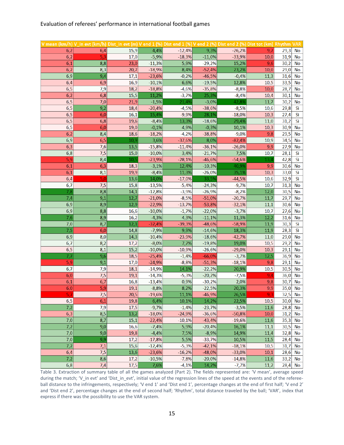#### Evaluation of referees' performance in international football games

| V mean (km/h) V_in evt (km/h) Dist_in evt (m) V end 1 (%) Dist end 1 (%) V end 2 (%) Dist end 2 (%) Dist tot (km) Rhythm VAR |            |              |                  |                   |                   |                   |             |              |           |
|------------------------------------------------------------------------------------------------------------------------------|------------|--------------|------------------|-------------------|-------------------|-------------------|-------------|--------------|-----------|
| 6,2                                                                                                                          | 6,4        | 15,9         | 4,4%             | $-12,4%$          | 9,3%              | $-26,2%$          | 9,7         | 29,3         | No        |
| 6,2                                                                                                                          | 5,3        | 17,0         | $-5,9%$          | $-18,3%$          | $-11,0%$          | $-33,9%$          | 10,0        | 31,9         | No        |
| 6,1                                                                                                                          | 8,8        | 23,0         | $-11,3%$         | 5,9%              | $-29,2%$          | 15,2%             | 9,6         | 30,2         | No        |
| 6,2                                                                                                                          | 8,3        | 20,7         | $-18,9%$         | 8,4%              | $-52,4%$          | 23,2%             | 10,0        | 29,0         | No        |
| 6,9                                                                                                                          | 9,4        | 17,1         | $-23,6%$         | $-0,2%$           | $-46,5%$          | $-0,4%$           | 11,3        | 31,6         | No        |
| 6,4                                                                                                                          | 6,9        | 16,9         | $-10,1%$         | 6,6%              | $-19,5%$          | 12,8%             | 10,5        | 33,5         | No        |
| 6,5                                                                                                                          | 7,9        | 18,2         | $-18,8%$         | $-4,6%$           | $-35,8%$          | $-8,8%$           | 10,0        | 28,7         | No        |
| 6,2                                                                                                                          | 6,8        | 15,5         | 11,2%            | $-3,7%$           | 25,3%             | $-8,4%$           | 10,4        | 30,1         | No        |
| 6,5                                                                                                                          | 7,0        | 21,9         | $-1,5%$          | 21,4%             | $-3,0%$           | 42,8%             | 11,7        | 30,2         | No        |
| 6,5                                                                                                                          | 9,2        | 18,4         | $-20,4%$         | $-4,5%$           | $-38,6%$          | $-8,5%$           | 10,6        | 29,8         | Sì        |
| 6,5                                                                                                                          | 6,0        | 16,1         | 15,4%            | $-9,9%$           | 28,1%             | $-18,0%$          | 10,3        | 27,4         | Sì        |
| 6,5                                                                                                                          | 6,8        | 19,6         | $-8,4%$          | 13,3%             | $-18,6%$          | 29,4%             | 11,0        | 31,2         | Sì        |
| 6,5                                                                                                                          | 6,0        | 19,0         | $-0,1%$          | 4,9%              | $-0,3%$           | 10,1%             | 10,3        | 30,9         | No        |
| 6,2                                                                                                                          | 8,4        | 18,6         | $-18,2%$         | $-4,2%$           | $-38,8%$          | $-9,0%$           | 9,8         | 29,5         | No        |
| 6,9                                                                                                                          | 6,5        | 10,9         | 3,6%             | $-37,6%$          | 8,0%              | $-82,4%$          | 10,9        | 34,5         | No        |
| 6,3                                                                                                                          | 7,6        | 13,5         | $-15,8%$         | $-11,4%$          | $-36,1%$          | $-26,0%$          | 9,9         | 27,9         | No        |
| 6,8                                                                                                                          | 7,5        | 15,0         | $-10,0%$         | 3,4%              | $-21,7%$          | 7,5%              | 10,7        | 28,1         | Sì        |
| 5,9                                                                                                                          | 8,4        | 10,5         | $-23,9%$         | $-28,1%$          | $-46,6%$          | $-54,6%$          | 13,4        | 42,8         | Sì        |
| 6,1                                                                                                                          | 6,3        | 18,3         | $-3,1%$          | 12,4%             | $-10,3%$          | 40,9%             | 9,9<br>10,3 | 30,6         | <b>No</b> |
| 6,1                                                                                                                          | 8,1<br>5,0 | 19,9<br>13,6 | $-8,4%$<br>14,0% | 11,3%<br>$-17,0%$ | $-26,0%$<br>33,5% | 35,1%<br>$-44,5%$ | 10,6        | 33,0<br>32,9 | Sì<br>Sì  |
| 6,4<br>6,7                                                                                                                   | 7,5        | 15,8         | $-13,5%$         | $-5,4%$           | $-24,3%$          | $-9,7%$           | 10,7        | 31,3         | No        |
| 7,8                                                                                                                          | 8,8        | 14,1         | $-12,8%$         | $-3,9%$           | $-26,9%$          | $-8,2%$           | 12,0        | 30,5         | No        |
| 7,4                                                                                                                          | 9,1        | 12,7         | $-21,0%$         | $-8,5%$           | $-51,0%$          | $-20,7%$          | 11,7        | 29,7         | <b>No</b> |
| 6,9                                                                                                                          | 8,9        | 12,9         | $-22,9%$         | $-13,7%$          | $-53,8%$          | $-32,1%$          | 11,1        | 30,6         | No        |
| 6,9                                                                                                                          | 8,8        | 16,6         | $-10,0%$         | $-1,7%$           | $-22,0%$          | $-3,7%$           | 10,7        | 27,6         | No        |
| 7,6                                                                                                                          | 8,9        | 16,2         | $-4,3%$          | 4,3%              | $-11,1%$          | 11,3%             | 12,2        | 31,6         | No        |
| 7,0                                                                                                                          | 8,7        | 12,1         | $-32,4%$         | $-39,3%$          | $-48,6%$          | $-58,9%$          | 11,9        | 30,3         | Sì        |
| 7,5                                                                                                                          | 6,0        | 14,8         | $-7,9%$          | 9,9%              | $-14,6%$          | 18,3%             | 11,9        | 28,3         | Sì        |
| 6,9                                                                                                                          | 8,0        | 14,3         | $-10,4%$         | $-23,9%$          | $-18,6%$          | $-42,7%$          | 11,0        | 29,0         | No        |
| 6,7                                                                                                                          | 8,2        | 17,2         | $-8,0%$          | 7,7%              | $-19,8%$          | 19,0%             | 10,5        | 29,2         | <b>No</b> |
| 6,5                                                                                                                          | 8,1        | 15,2         | $-10,0%$         | $-10,9%$          | $-26,6%$          | $-29,0%$          | 10,3        | 29,1         | <b>No</b> |
| 7,7                                                                                                                          | 9,6        | 18,5         | $-25,4%$         | $-1,4%$           | $-66,0%$          | $-3,7%$           | 12,5        | 36,9         | No        |
| 5,9                                                                                                                          | 9,1        | 17,0         | $-24,9%$         | $-8,8%$           | $-51,3%$          | $-18,1%$          | 9,8         | 29,1         | No        |
| 6,7                                                                                                                          | 7,9        | 18,1         | $-14,9%$         | 14,1%             | $-22,2%$          | 20,9%             | 10,5        | 30,5         | No        |
| 6,0                                                                                                                          | 7,5        | 19,1         | $-14,3%$         | $-5,3%$           | $-20,2%$          | $-7,5%$           | 9,4         | 36,0         | No        |
| 6,1                                                                                                                          | 6,7        | 16,8         | $-13,4%$         | 0,9%              | $-30,2%$          | 2,0%              | 9,8         | 30,7         | <b>No</b> |
| 6,0                                                                                                                          | 5,9        | 19,1         | $-8,8%$          | 8,2%              | $-22,5%$          | 20,3%             | 9,9         | 35,0         | <b>No</b> |
| 5,7                                                                                                                          | 7,5        | 20,5         | $-19,6%$         | 11,1%             | $-46,9%$          | 26,5%             | 9,3         | 32,5         | No        |
| 6,5                                                                                                                          | 6,1        | 19,8         | 6,4%             | 10,1%             | 14,2%             | 22,5%             | 10,5        | 30,0         | No        |
| 7,2                                                                                                                          | 7,9        | 17,5         | $-9,7%$          | $-1,4%$           | $-23,7%$          | $-3,5%$           | 11,6        | 28,8         | No        |
| 6,3                                                                                                                          | 8,5        | 13,2         | $-18,0%$         | $-24,9%$          | $-36,6%$          | $-50,8%$          | 10,0        | 31,2         | No        |
| 7,0                                                                                                                          | 8,7        | 15,1         | $-22,4%$         | $-10,1%$          | $-43,4%$          | $-19,6%$          | 11,6        | 35,3         | No        |
| 7,2                                                                                                                          | 9,0        | 16,6         | $-7,4%$          | 5,9%              | $-20,4%$          | 16,1%             | 11,1        | 30,5         | No        |
| 7,0                                                                                                                          | 9,0        | 19,8         | $-4,4%$          | 7,5%              | $-8,9%$           | 14,9%             | 11,4        | 32,8         | No        |
| 7,0                                                                                                                          | 9,9        | 17,2         | $-17,8%$         | 5,5%              | $-33,7%$          | 10,5%             | 11,5        | 28,4         | No        |
| 7,2                                                                                                                          | 7,1        | 15,6         | $-12,4%$         | $-5,3%$           | $-42,1%$          | $-18,1%$          | 10,5        | 31,7         | No        |
| 6,4                                                                                                                          | 7,5        | 13,6         | $-23,6%$         | $-16,2%$          | $-48,0%$          | $-33,0%$          | 10,1        | 28,6         | No        |
| 7,2                                                                                                                          | 8,6        | 17,2         | $-10,5%$         | $-7,8%$           | $-20,0%$          | $-14,8%$          | 11,6        | 33,2         | No        |
| 6,8                                                                                                                          | 7,4        | 17,5         | 7,6%             | $-4,1%$           | 14,2%             | $-7,7%$           | 11,2        | 28,4         | No        |

Table 3. Extraction of summary table of all the games analyzed (Part 2). The fields represented are: 'V mean', average speed during the match; 'V in evt' and 'Dist in evt', initial value of the regression lines of the speed at the events and of the refereeball distance to the infringements, respectively; 'V end 1' and 'Dist end 1', percentage changes at the end of first half; 'V end 2' and 'Dist end 2', percentage changes at the end of second half; 'Rhythm', total distance traveled by the ball; 'VAR', index that express if there was the possibility to use the VAR system.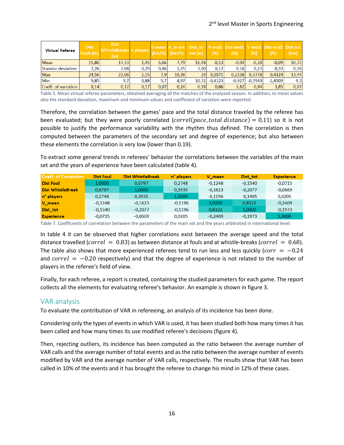| <b>Virtual Referee</b> | <b>Dist</b><br>Fouls (m) | <b>Dist</b><br>WhistleBreaks n players<br>(m) |      |      | $(km/h)$ $(km/h)$ | evt(m) | (% )      | V mean V in evt Dist in V end1 Dist end1 V end2 Dist end2 Dist tot<br>(96) | (%)       | (% )      | (km)  |
|------------------------|--------------------------|-----------------------------------------------|------|------|-------------------|--------|-----------|----------------------------------------------------------------------------|-----------|-----------|-------|
| <b>Mean</b>            | 15,86                    | 17,33                                         | 1.45 | 6.66 | 7,79              | 16,48  | $-0,13$   | $-0.04$                                                                    | $-0.28$   | $-0.09$   | 10,75 |
| Standar deviation      | 2,26                     | 2,08                                          | 0.25 | 0.46 | 1,25              | 3.00   | 0.12      | 0.16                                                                       | 0.23      | 0.33      | 0,76  |
| <b>Max</b>             | 24,56                    | 22,06                                         | 2,15 | 7,9  | 10,36             | 29     | 0,2071    | 0.2336                                                                     | 0,3778    | 0,4324    | 13,44 |
| <b>Min</b>             | 9,85                     | 9,7                                           | 0.88 | 5,7  | 4,97              | 10,31  | $-0.4123$ | $-0,927$                                                                   | $-0.7949$ | $-1,4509$ | 9,3   |
| Coeff. of variation    | 0,14                     | 0,12                                          | 0,17 | 0,07 | 0,16              | 0,18   | 0,86      | 3,82                                                                       | 0,84      | 3,85      | 0,07  |

Table 5. Mean virtual referee parameters, obtained averaging all the matches of the analyzed season. In addition, to mean values also the standard deviation, maximum and minimum values and coefficient of variation were reported.

Therefore, the correlation between the games' pace and the total distance traveled by the referee has been evaluated; but they were poorly correlated (correl(pace, total distance) = 0,11) so it is not possible to justify the performance variability with the rhythm thus defined. The correlation is then computed between the parameters of the secondary set and degree of experience; but also between these elements the correlation is very low (lower than 0.19). possible to justify the performance variability with the mythin thus defined. The

To extract some general trends in referees' behavior the correlations between the variables of the main set and the years of experience have been calculated (table 4).

| Coeff. of Correlation    | <b>Dist Foul</b> | <b>Dist WhistleBreak</b> | n° players | V mean    | <b>Dist tot</b> | <b>Esperience</b> |
|--------------------------|------------------|--------------------------|------------|-----------|-----------------|-------------------|
| <b>Dist Foul</b>         | 1,0000           | 0.6797                   | 0.2748     | $-0.1248$ | $-0.1540$       | $-0.0715$         |
| <b>Dist WhistleBreak</b> | 0.6797           | 1.0000                   | 0.3935     | $-0.1623$ | $-0.2077$       | $-0.0669$         |
| n° players               | 0.2748           | 0.3935                   | 1.0000     | $-0,1196$ | $-0.1405$       | 0,0205            |
| V_mean                   | $-0.1248$        | $-0.1623$                | $-0.1196$  | 1,0000    | 0,8322          | $-0.2409$         |
| <b>Dist tot</b>          | $-0.1540$        | $-0.2077$                | $-0.1196$  | 0.8322    | 1,0000          | $-0.1973$         |
| <b>Esperience</b>        | $-0.0715$        | $-0.0669$                | 0.0205     | $-0.2409$ | $-0.1973$       | 1,0000            |

Table 7. Coefficients of correlation between the parameters of the main set and the years arbitrated in international level.

In table 4 it can be observed that higher correlations exist between the average speed and the total distance travelled (correl = 0.83) as between distance at fouls and at whistle-breaks (correl = 0.68). The table also shows that more experienced referees tend to run less and less quickly ( $corr = -0.24$ ) and  $correl = -0.20$  respectively) and that the degree of experience is not related to the number of players in the referee's field of view.

Finally, for each referee, a report is created, containing the studied parameters for each game. The report collects all the elements for evaluating referee's behavior. An example is shown in figure 3.

#### <span id="page-15-0"></span>VAR analysis

To evaluate the contribution of VAR in refereeing, an analysis of its incidence has been done.

Considering only the types of events in which VAR is used, it has been studied both how many times it has been called and how many times its use modified referee's decisions (figure 4).

Then, rejecting outliers, its incidence has been computed as the ratio between the average number of VAR calls and the average number of total events and as the ratio between the average number of events modified by VAR and the average number of VAR calls, respectively. The results show that VAR has been called in 10% of the events and it has brought the referee to change his mind in 12% of these cases.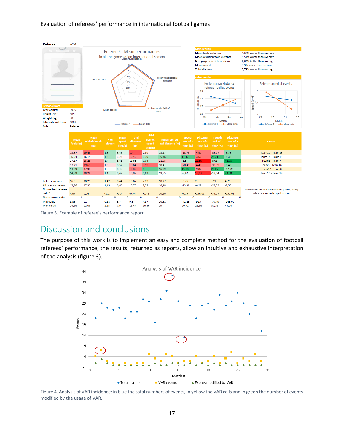#### Evaluation of referees' performance in international football games



Figure 3. Example of referee's performance report.

### <span id="page-16-0"></span>Discussion and conclusions

The purpose of this work is to implement an easy and complete method for the evaluation of football referees' performance; the results, returned as reports, allow an intuitive and exhaustive interpretation of the analysis (figure 3).



Figure 4. Analysis of VAR incidence: in blue the total numbers of events, in yellow the VAR calls and in green the number of events modified by the usage of VAR.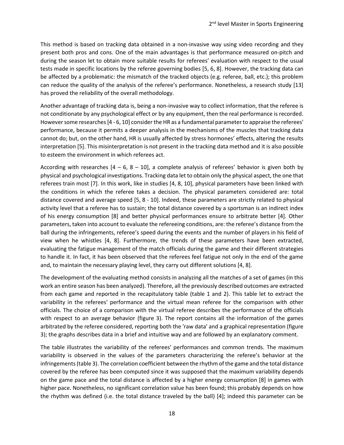This method is based on tracking data obtained in a non-invasive way using video recording and they present both pros and cons. One of the main advantages is that performance measured on-pitch and during the season let to obtain more suitable results for referees' evaluation with respect to the usual tests made in specific locations by the referee governing bodies [5, 6, 8]. However, the tracking data can be affected by a problematic: the mismatch of the tracked objects (e.g. referee, ball, etc.); this problem can reduce the quality of the analysis of the referee's performance. Nonetheless, a research study [13] has proved the reliability of the overall methodology.

Another advantage of tracking data is, being a non-invasive way to collect information, that the referee is not conditionate by any psychological effect or by any equipment, then the real performance is recorded. However some researches [4 - 6, 10] consider the HR as a fundamental parameter to appraise the referees' performance, because it permits a deeper analysis in the mechanisms of the muscles that tracking data cannot do; but, on the other hand, HR is usually affected by stress hormones' effects, altering the results interpretation [5]. This misinterpretation is not present in the tracking data method and it is also possible to esteem the environment in which referees act.

According with researches  $[4 - 6, 8 - 10]$ , a complete analysis of referees' behavior is given both by physical and psychological investigations. Tracking data let to obtain only the physical aspect, the one that referees train most [7]. In this work, like in studies [4, 8, 10], physical parameters have been linked with the conditions in which the referee takes a decision. The physical parameters considered are: total distance covered and average speed [5, 8 - 10]. Indeed, these parameters are strictly related to physical activity level that a referee has to sustain; the total distance covered by a sportsman is an indirect index of his energy consumption [8] and better physical performances ensure to arbitrate better [4]. Other parameters, taken into account to evaluate the refereeing conditions, are: the referee's distance from the ball during the infringements, referee's speed during the events and the number of players in his field of view when he whistles [4, 8]. Furthermore, the trends of these parameters have been extracted, evaluating the fatigue management of the match officials during the game and their different strategies to handle it. In fact, it has been observed that the referees feel fatigue not only in the end of the game and, to maintain the necessary playing level, they carry out different solutions [4, 8].

The development of the evaluating method consists in analyzing all the matches of a set of games (in this work an entire season has been analyzed). Therefore, all the previously described outcomes are extracted from each game and reported in the recapitulatory table (table 1 and 2). This table let to extract the variability in the referees' performance and the virtual mean referee for the comparison with other officials. The choice of a comparison with the virtual referee describes the performance of the officials with respect to an average behavior (figure 3). The report contains all the information of the games arbitrated by the referee considered, reporting both the 'raw data' and a graphical representation (figure 3); the graphs describes data in a brief and intuitive way and are followed by an explanatory comment.

The table illustrates the variability of the referees' performances and common trends. The maximum variability is observed in the values of the parameters characterizing the referee's behavior at the infringements (table 3). The correlation coefficient between the rhythm of the game and the total distance covered by the referee has been computed since it was supposed that the maximum variability depends on the game pace and the total distance is affected by a higher energy consumption [8] in games with higher pace. Nonetheless, no significant correlation value has been found; this probably depends on how the rhythm was defined (i.e. the total distance traveled by the ball) [4]; indeed this parameter can be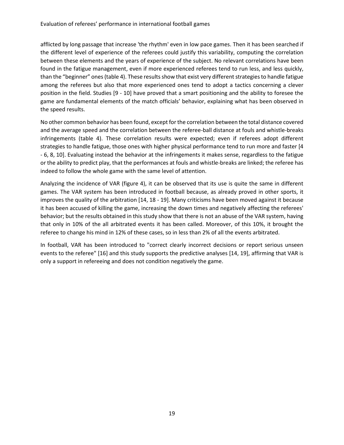afflicted by long passage that increase 'the rhythm' even in low pace games. Then it has been searched if the different level of experience of the referees could justify this variability, computing the correlation between these elements and the years of experience of the subject. No relevant correlations have been found in the fatigue management, even if more experienced referees tend to run less, and less quickly, than the "beginner" ones (table 4). These results show that exist very different strategies to handle fatigue among the referees but also that more experienced ones tend to adopt a tactics concerning a clever position in the field. Studies [9 - 10] have proved that a smart positioning and the ability to foresee the game are fundamental elements of the match officials' behavior, explaining what has been observed in the speed results.

No other common behavior has been found, except for the correlation between the total distance covered and the average speed and the correlation between the referee-ball distance at fouls and whistle-breaks infringements (table 4). These correlation results were expected; even if referees adopt different strategies to handle fatigue, those ones with higher physical performance tend to run more and faster [4 - 6, 8, 10]. Evaluating instead the behavior at the infringements it makes sense, regardless to the fatigue or the ability to predict play, that the performances at fouls and whistle-breaks are linked; the referee has indeed to follow the whole game with the same level of attention.

Analyzing the incidence of VAR (figure 4), it can be observed that its use is quite the same in different games. The VAR system has been introduced in football because, as already proved in other sports, it improves the quality of the arbitration [14, 18 - 19]. Many criticisms have been moved against it because it has been accused of killing the game, increasing the down times and negatively affecting the referees' behavior; but the results obtained in this study show that there is not an abuse of the VAR system, having that only in 10% of the all arbitrated events it has been called. Moreover, of this 10%, it brought the referee to change his mind in 12% of these cases, so in less than 2% of all the events arbitrated.

In football, VAR has been introduced to "correct clearly incorrect decisions or report serious unseen events to the referee" [16] and this study supports the predictive analyses [14, 19], affirming that VAR is only a support in refereeing and does not condition negatively the game.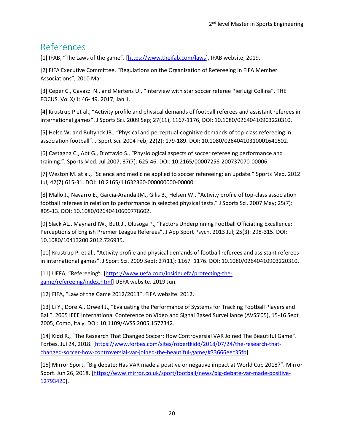## <span id="page-19-0"></span>References

[1] IFAB, "The Laws of the game". [\[https://www.theifab.com/laws\]](https://www.theifab.com/laws), IFAB website, 2019.

[2] FIFA Executive Committee, "Regulations on the Organization of Refereeing in FIFA Member Associations", 2010 Mar.

[3] Ceper C., Gavazzi N., and Mertens U., "Interview with star soccer referee Pierluigi Collina". THE FOCUS. Vol X/1: 46- 49. 2017, Jan 1.

[4] Krustrup P et al., "Activity profile and physical demands of football referees and assistant referees in international games". J Sports Sci. 2009 Sep; 27(11), 1167-1176, DOI: 10.1080/02640410903220310.

[5] Helse W. and Bultynck JB., "Physical and perceptual-cognitive demands of top-class refereeing in association football". J Sport Sci. 2004 Feb; 22(2): 179-189. DOI: 10.1080/02640410310001641502.

[6] Castagna C., Abt G., D'ottavio S., "Physiological aspects of soccer refereeing performance and training.". Sports Med. Jul 2007; 37(7): 625-46. DOI: 10.2165/00007256-200737070-00006.

[7] Weston M. at al., "Science and medicine applied to soccer refereeing: an update." Sports Med. 2012 Jul; 42(7):615-31. DOI: 10.2165/11632360-000000000-00000.

[8] Mallo J., Navarro E., García-Aranda JM., Gilis B., Helsen W., "Activity profile of top-class association football referees in relation to performance in selected physical tests." J Sports Sci. 2007 May; 25(7): 805-13. DOI: 10.1080/02640410600778602.

[9] Slack AL., Maynard IW., Butt J., Olusoga P., "Factors Underpinning Football Officiating Excellence: Perceptions of English Premier League Referees". J App Sport Psych. 2013 Jul; 25(3): 298-315. DOI: 10.1080/10413200.2012.726935.

[10] Krustrup P. et al., "Activity profile and physical demands of football referees and assistant referees in international games". J Sport Sci. 2009 Sept; 27(11): 1167–1176. DOI: 10.1080/02640410903220310.

[11] UEFA, "Refereeing". [[https://www.uefa.com/insideuefa/protecting-the](https://www.uefa.com/insideuefa/protecting-the-game/refereeing/index.html)[game/refereeing/index.html\]](https://www.uefa.com/insideuefa/protecting-the-game/refereeing/index.html) UEFA website. 2019 Jun.

[12] FIFA, "Law of the Game 2012/2013". FIFA website. 2012.

[13] Li Y., Dore A., Orwell J., "Evaluating the Performance of Systems for Tracking Football Players and Ball". 2005 IEEE International Conference on Video and Signal Based Surveillance (AVSS'05), 15-16 Sept 2005, Como, Italy. DOI: 10.1109/AVSS.2005.1577342.

[14] Kidd R., "The Research That Changed Soccer: How Controversial VAR Joined The Beautiful Game". Forbes. Jul 24, 2018. [\[https://www.forbes.com/sites/robertkidd/2018/07/24/the-research-that](https://www.forbes.com/sites/robertkidd/2018/07/24/the-research-that-changed-soccer-how-controversial-var-joined-the-beautiful-game/#33666eec35fb)[changed-soccer-how-controversial-var-joined-the-beautiful-game/#33666eec35fb\]](https://www.forbes.com/sites/robertkidd/2018/07/24/the-research-that-changed-soccer-how-controversial-var-joined-the-beautiful-game/#33666eec35fb).

[15] Mirror Sport. "Big debate: Has VAR made a positive or negative impact at World Cup 2018?". Mirror Sport. Jun 26, 2018. [\[https://www.mirror.co.uk/sport/football/news/big-debate-var-made-positive-](https://www.mirror.co.uk/sport/football/news/big-debate-var-made-positive-12793420)[12793420\]](https://www.mirror.co.uk/sport/football/news/big-debate-var-made-positive-12793420).